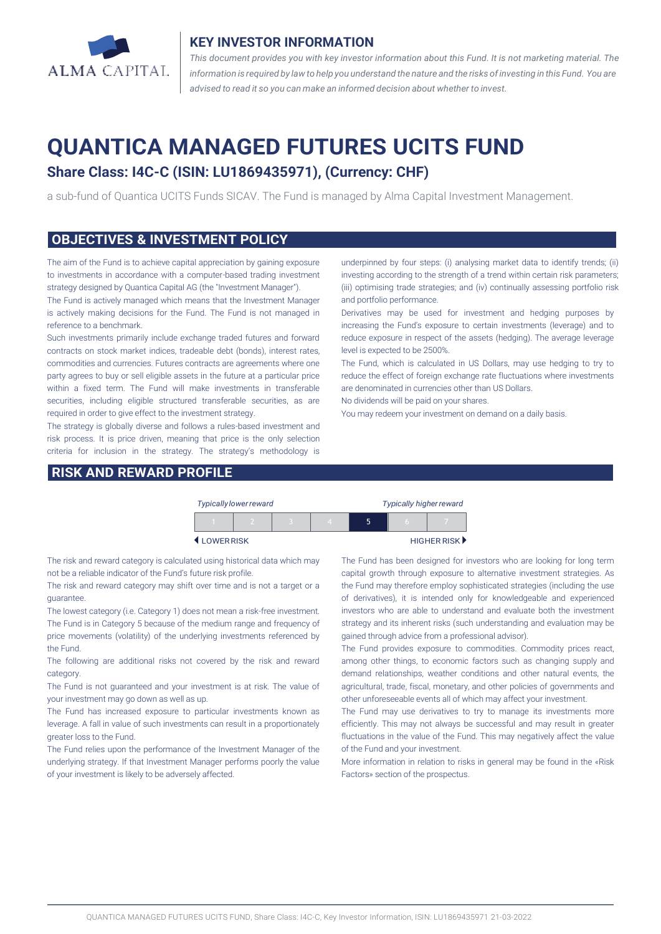

#### **KEY INVESTOR INFORMATION**

*This document provides you with key investor information about this Fund. It is not marketing material. The* information is required by law to help you understand the nature and the risks of investing in this Fund. You are *advised to read it so you can make an informed decision about whether to invest.*

# **QUANTICA MANAGED FUTURES UCITS FUND**

## **Share Class: I4C-C (ISIN: LU1869435971), (Currency: CHF)**

a sub-fund of Quantica UCITS Funds SICAV. The Fund is managed by Alma Capital Investment Management.

#### **OBJECTIVES & INVESTMENT POLICY**

The aim of the Fund is to achieve capital appreciation by gaining exposure to investments in accordance with a computer-based trading investment strategy designed by Quantica Capital AG (the "Investment Manager").

The Fund is actively managed which means that the Investment Manager is actively making decisions for the Fund. The Fund is not managed in reference to a benchmark.

Such investments primarily include exchange traded futures and forward contracts on stock market indices, tradeable debt (bonds), interest rates, commodities and currencies. Futures contracts are agreements where one party agrees to buy or sell eligible assets in the future at a particular price within a fixed term. The Fund will make investments in transferable securities, including eligible structured transferable securities, as are required in order to give effect to the investment strategy.

The strategy is globally diverse and follows a rules-based investment and risk process. It is price driven, meaning that price is the only selection criteria for inclusion in the strategy. The strategy's methodology is

#### **RISK AND REWARD PROFILE**

underpinned by four steps: (i) analysing market data to identify trends; (ii) investing according to the strength of a trend within certain risk parameters; (iii) optimising trade strategies; and (iv) continually assessing portfolio risk and portfolio performance.

Derivatives may be used for investment and hedging purposes by increasing the Fund's exposure to certain investments (leverage) and to reduce exposure in respect of the assets (hedging). The average leverage level is expected to be 2500%.

The Fund, which is calculated in US Dollars, may use hedging to try to reduce the effect of foreign exchange rate fluctuations where investments are denominated in currencies other than US Dollars.

No dividends will be paid on your shares.

You may redeem your investment on demand on a daily basis.

|           | <b>Typically lower reward</b> |  | <b>Typically higher reward</b> |   |   |             |
|-----------|-------------------------------|--|--------------------------------|---|---|-------------|
|           |                               |  |                                | ה | n |             |
| LOWERRISK |                               |  |                                |   |   | HIGHER RISK |

The risk and reward category is calculated using historical data which may not be a reliable indicator of the Fund's future risk profile.

The risk and reward category may shift over time and is not a target or a guarantee.

The lowest category (i.e. Category 1) does not mean a risk-free investment. The Fund is in Category 5 because of the medium range and frequency of price movements (volatility) of the underlying investments referenced by the Fund.

The following are additional risks not covered by the risk and reward category.

The Fund is not guaranteed and your investment is at risk. The value of your investment may go down as well as up.

The Fund has increased exposure to particular investments known as leverage. A fall in value of such investments can result in a proportionately greater loss to the Fund.

The Fund relies upon the performance of the Investment Manager of the underlying strategy. If that Investment Manager performs poorly the value of your investment is likely to be adversely affected.

The Fund has been designed for investors who are looking for long term capital growth through exposure to alternative investment strategies. As the Fund may therefore employ sophisticated strategies (including the use of derivatives), it is intended only for knowledgeable and experienced investors who are able to understand and evaluate both the investment strategy and its inherent risks (such understanding and evaluation may be gained through advice from a professional advisor).

The Fund provides exposure to commodities. Commodity prices react, among other things, to economic factors such as changing supply and demand relationships, weather conditions and other natural events, the agricultural, trade, fiscal, monetary, and other policies of governments and other unforeseeable events all of which may affect your investment.

The Fund may use derivatives to try to manage its investments more efficiently. This may not always be successful and may result in greater fluctuations in the value of the Fund. This may negatively affect the value of the Fund and your investment.

More information in relation to risks in general may be found in the «Risk Factors» section of the prospectus.